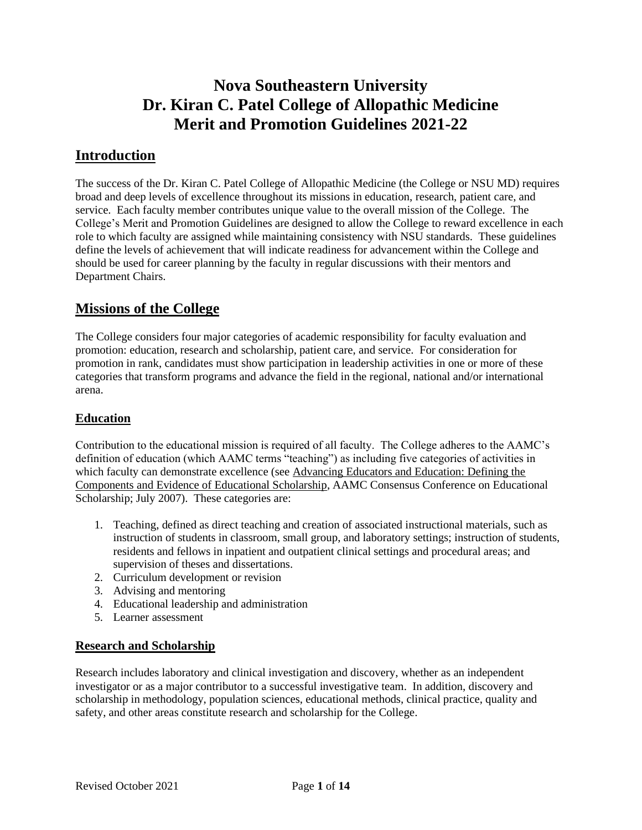# **Nova Southeastern University Dr. Kiran C. Patel College of Allopathic Medicine Merit and Promotion Guidelines 2021-22**

## **Introduction**

The success of the Dr. Kiran C. Patel College of Allopathic Medicine (the College or NSU MD) requires broad and deep levels of excellence throughout its missions in education, research, patient care, and service. Each faculty member contributes unique value to the overall mission of the College. The College's Merit and Promotion Guidelines are designed to allow the College to reward excellence in each role to which faculty are assigned while maintaining consistency with NSU standards. These guidelines define the levels of achievement that will indicate readiness for advancement within the College and should be used for career planning by the faculty in regular discussions with their mentors and Department Chairs.

## **Missions of the College**

The College considers four major categories of academic responsibility for faculty evaluation and promotion: education, research and scholarship, patient care, and service. For consideration for promotion in rank, candidates must show participation in leadership activities in one or more of these categories that transform programs and advance the field in the regional, national and/or international arena.

### **Education**

Contribution to the educational mission is required of all faculty. The College adheres to the AAMC's definition of education (which AAMC terms "teaching") as including five categories of activities in which faculty can demonstrate excellence (see Advancing Educators and Education: Defining the Components and Evidence of Educational Scholarship, AAMC Consensus Conference on Educational Scholarship; July 2007). These categories are:

- 1. Teaching, defined as direct teaching and creation of associated instructional materials, such as instruction of students in classroom, small group, and laboratory settings; instruction of students, residents and fellows in inpatient and outpatient clinical settings and procedural areas; and supervision of theses and dissertations.
- 2. Curriculum development or revision
- 3. Advising and mentoring
- 4. Educational leadership and administration
- 5. Learner assessment

### **Research and Scholarship**

Research includes laboratory and clinical investigation and discovery, whether as an independent investigator or as a major contributor to a successful investigative team. In addition, discovery and scholarship in methodology, population sciences, educational methods, clinical practice, quality and safety, and other areas constitute research and scholarship for the College.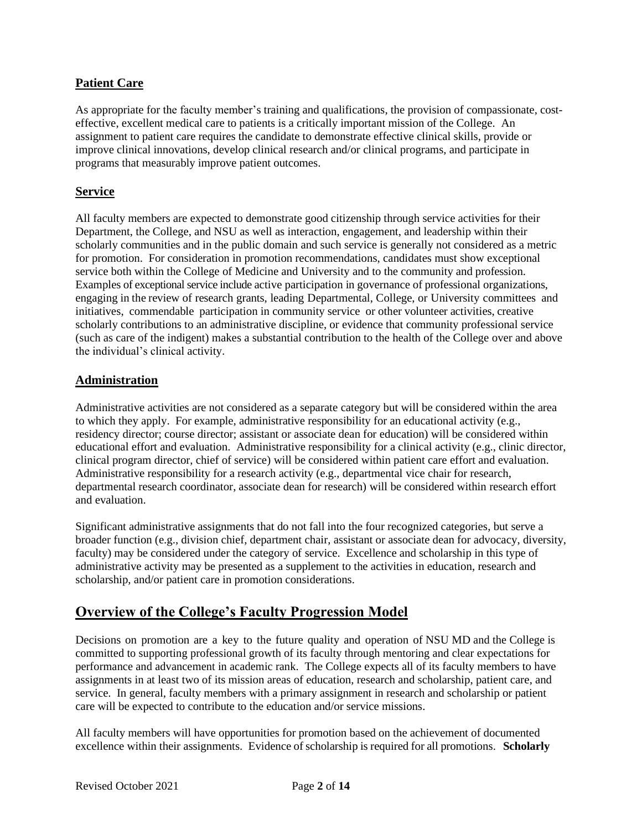### **Patient Care**

As appropriate for the faculty member's training and qualifications, the provision of compassionate, costeffective, excellent medical care to patients is a critically important mission of the College. An assignment to patient care requires the candidate to demonstrate effective clinical skills, provide or improve clinical innovations, develop clinical research and/or clinical programs, and participate in programs that measurably improve patient outcomes.

#### **Service**

All faculty members are expected to demonstrate good citizenship through service activities for their Department, the College, and NSU as well as interaction, engagement, and leadership within their scholarly communities and in the public domain and such service is generally not considered as a metric for promotion. For consideration in promotion recommendations, candidates must show exceptional service both within the College of Medicine and University and to the community and profession. Examples of exceptional service include active participation in governance of professional organizations, engaging in the review of research grants, leading Departmental, College, or University committees and initiatives, commendable participation in community service or other volunteer activities, creative scholarly contributions to an administrative discipline, or evidence that community professional service (such as care of the indigent) makes a substantial contribution to the health of the College over and above the individual's clinical activity.

### **Administration**

Administrative activities are not considered as a separate category but will be considered within the area to which they apply. For example, administrative responsibility for an educational activity (e.g., residency director; course director; assistant or associate dean for education) will be considered within educational effort and evaluation. Administrative responsibility for a clinical activity (e.g., clinic director, clinical program director, chief of service) will be considered within patient care effort and evaluation. Administrative responsibility for a research activity (e.g., departmental vice chair for research, departmental research coordinator, associate dean for research) will be considered within research effort and evaluation.

Significant administrative assignments that do not fall into the four recognized categories, but serve a broader function (e.g., division chief, department chair, assistant or associate dean for advocacy, diversity, faculty) may be considered under the category of service. Excellence and scholarship in this type of administrative activity may be presented as a supplement to the activities in education, research and scholarship, and/or patient care in promotion considerations.

## **Overview of the College's Faculty Progression Model**

Decisions on promotion are a key to the future quality and operation of NSU MD and the College is committed to supporting professional growth of its faculty through mentoring and clear expectations for performance and advancement in academic rank. The College expects all of its faculty members to have assignments in at least two of its mission areas of education, research and scholarship, patient care, and service. In general, faculty members with a primary assignment in research and scholarship or patient care will be expected to contribute to the education and/or service missions.

All faculty members will have opportunities for promotion based on the achievement of documented excellence within their assignments. Evidence of scholarship is required for all promotions. **Scholarly**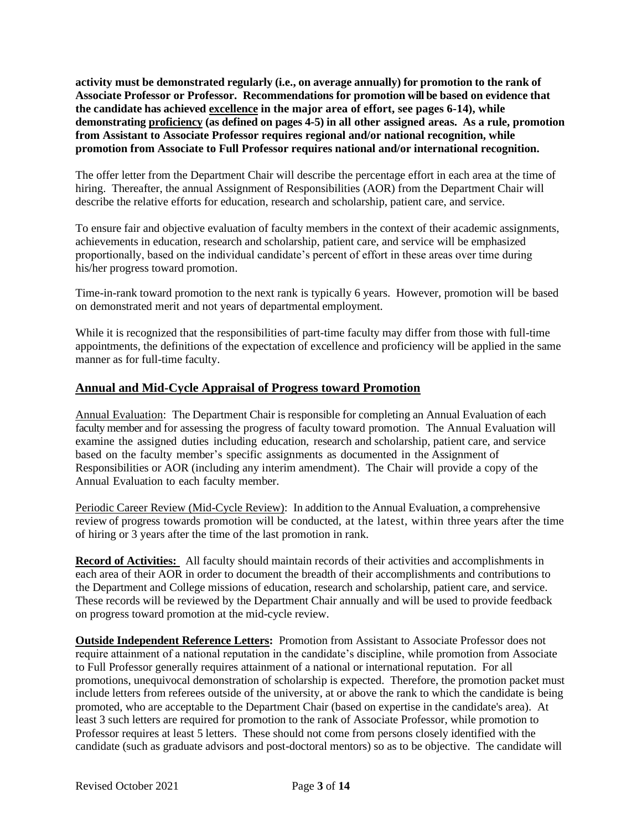**activity must be demonstrated regularly (i.e., on average annually) for promotion to the rank of Associate Professor or Professor. Recommendations for promotion will be based on evidence that the candidate has achieved excellence in the major area of effort, see pages 6-14), while demonstrating proficiency (as defined on pages 4-5) in all other assigned areas. As a rule, promotion from Assistant to Associate Professor requires regional and/or national recognition, while promotion from Associate to Full Professor requires national and/or international recognition.**

The offer letter from the Department Chair will describe the percentage effort in each area at the time of hiring. Thereafter, the annual Assignment of Responsibilities (AOR) from the Department Chair will describe the relative efforts for education, research and scholarship, patient care, and service.

To ensure fair and objective evaluation of faculty members in the context of their academic assignments, achievements in education, research and scholarship, patient care, and service will be emphasized proportionally, based on the individual candidate's percent of effort in these areas over time during his/her progress toward promotion.

Time-in-rank toward promotion to the next rank is typically 6 years. However, promotion will be based on demonstrated merit and not years of departmental employment.

While it is recognized that the responsibilities of part-time faculty may differ from those with full-time appointments, the definitions of the expectation of excellence and proficiency will be applied in the same manner as for full-time faculty.

#### **Annual and Mid-Cycle Appraisal of Progress toward Promotion**

Annual Evaluation: The Department Chair is responsible for completing an Annual Evaluation of each faculty member and for assessing the progress of faculty toward promotion. The Annual Evaluation will examine the assigned duties including education, research and scholarship, patient care, and service based on the faculty member's specific assignments as documented in the Assignment of Responsibilities or AOR (including any interim amendment). The Chair will provide a copy of the Annual Evaluation to each faculty member.

Periodic Career Review (Mid-Cycle Review): In addition to the Annual Evaluation, a comprehensive review of progress towards promotion will be conducted, at the latest, within three years after the time of hiring or 3 years after the time of the last promotion in rank.

**Record of Activities:** All faculty should maintain records of their activities and accomplishments in each area of their AOR in order to document the breadth of their accomplishments and contributions to the Department and College missions of education, research and scholarship, patient care, and service. These records will be reviewed by the Department Chair annually and will be used to provide feedback on progress toward promotion at the mid-cycle review.

**Outside Independent Reference Letters:** Promotion from Assistant to Associate Professor does not require attainment of a national reputation in the candidate's discipline, while promotion from Associate to Full Professor generally requires attainment of a national or international reputation. For all promotions, unequivocal demonstration of scholarship is expected. Therefore, the promotion packet must include letters from referees outside of the university, at or above the rank to which the candidate is being promoted, who are acceptable to the Department Chair (based on expertise in the candidate's area). At least 3 such letters are required for promotion to the rank of Associate Professor, while promotion to Professor requires at least 5 letters. These should not come from persons closely identified with the candidate (such as graduate advisors and post-doctoral mentors) so as to be objective. The candidate will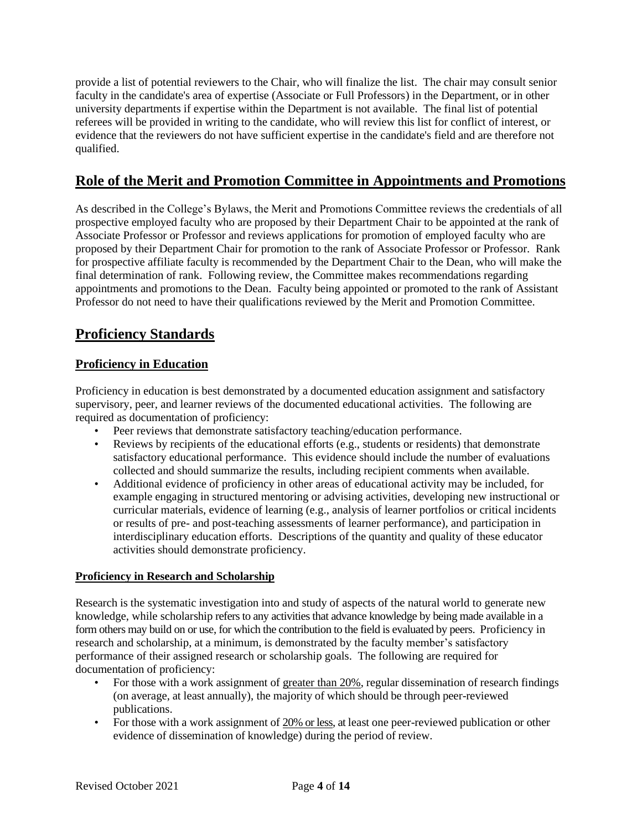provide a list of potential reviewers to the Chair, who will finalize the list. The chair may consult senior faculty in the candidate's area of expertise (Associate or Full Professors) in the Department, or in other university departments if expertise within the Department is not available. The final list of potential referees will be provided in writing to the candidate, who will review this list for conflict of interest, or evidence that the reviewers do not have sufficient expertise in the candidate's field and are therefore not qualified.

## **Role of the Merit and Promotion Committee in Appointments and Promotions**

As described in the College's Bylaws, the Merit and Promotions Committee reviews the credentials of all prospective employed faculty who are proposed by their Department Chair to be appointed at the rank of Associate Professor or Professor and reviews applications for promotion of employed faculty who are proposed by their Department Chair for promotion to the rank of Associate Professor or Professor. Rank for prospective affiliate faculty is recommended by the Department Chair to the Dean, who will make the final determination of rank. Following review, the Committee makes recommendations regarding appointments and promotions to the Dean. Faculty being appointed or promoted to the rank of Assistant Professor do not need to have their qualifications reviewed by the Merit and Promotion Committee.

## **Proficiency Standards**

### **Proficiency in Education**

Proficiency in education is best demonstrated by a documented education assignment and satisfactory supervisory, peer, and learner reviews of the documented educational activities. The following are required as documentation of proficiency:

- Peer reviews that demonstrate satisfactory teaching/education performance.
- Reviews by recipients of the educational efforts (e.g., students or residents) that demonstrate satisfactory educational performance. This evidence should include the number of evaluations collected and should summarize the results, including recipient comments when available.
- Additional evidence of proficiency in other areas of educational activity may be included, for example engaging in structured mentoring or advising activities, developing new instructional or curricular materials, evidence of learning (e.g., analysis of learner portfolios or critical incidents or results of pre- and post-teaching assessments of learner performance), and participation in interdisciplinary education efforts. Descriptions of the quantity and quality of these educator activities should demonstrate proficiency.

### **Proficiency in Research and Scholarship**

Research is the systematic investigation into and study of aspects of the natural world to generate new knowledge, while scholarship refers to any activities that advance knowledge by being made available in a form others may build on or use, for which the contribution to the field is evaluated by peers. Proficiency in research and scholarship, at a minimum, is demonstrated by the faculty member's satisfactory performance of their assigned research or scholarship goals. The following are required for documentation of proficiency:

- For those with a work assignment of greater than 20%, regular dissemination of research findings (on average, at least annually), the majority of which should be through peer-reviewed publications.
- For those with a work assignment of 20% or less, at least one peer-reviewed publication or other evidence of dissemination of knowledge) during the period of review.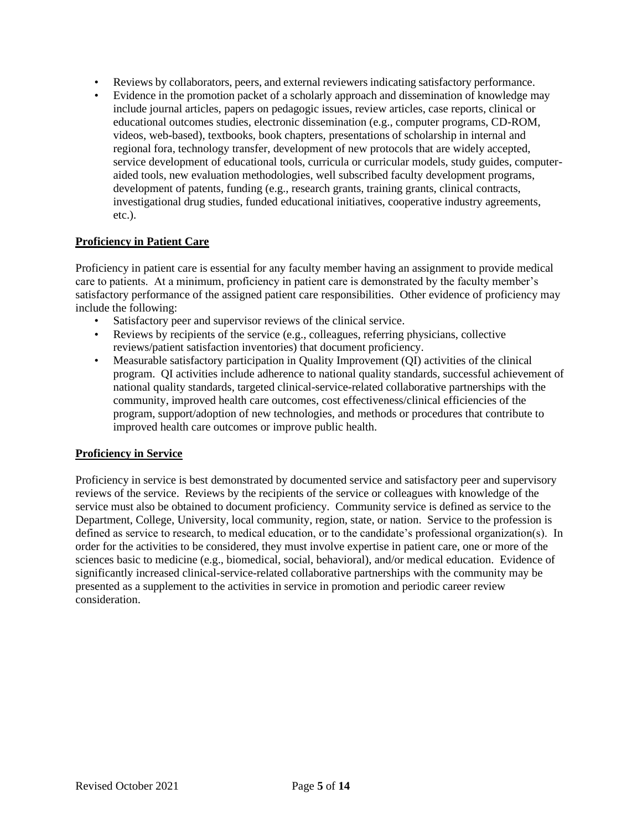- Reviews by collaborators, peers, and external reviewers indicating satisfactory performance.
- Evidence in the promotion packet of a scholarly approach and dissemination of knowledge may include journal articles, papers on pedagogic issues, review articles, case reports, clinical or educational outcomes studies, electronic dissemination (e.g., computer programs, CD-ROM, videos, web-based), textbooks, book chapters, presentations of scholarship in internal and regional fora, technology transfer, development of new protocols that are widely accepted, service development of educational tools, curricula or curricular models, study guides, computeraided tools, new evaluation methodologies, well subscribed faculty development programs, development of patents, funding (e.g., research grants, training grants, clinical contracts, investigational drug studies, funded educational initiatives, cooperative industry agreements, etc.).

#### **Proficiency in Patient Care**

Proficiency in patient care is essential for any faculty member having an assignment to provide medical care to patients. At a minimum, proficiency in patient care is demonstrated by the faculty member's satisfactory performance of the assigned patient care responsibilities. Other evidence of proficiency may include the following:

- Satisfactory peer and supervisor reviews of the clinical service.
- Reviews by recipients of the service (e.g., colleagues, referring physicians, collective reviews/patient satisfaction inventories) that document proficiency.
- Measurable satisfactory participation in Quality Improvement (QI) activities of the clinical program. QI activities include adherence to national quality standards, successful achievement of national quality standards, targeted clinical-service-related collaborative partnerships with the community, improved health care outcomes, cost effectiveness/clinical efficiencies of the program, support/adoption of new technologies, and methods or procedures that contribute to improved health care outcomes or improve public health.

#### **Proficiency in Service**

Proficiency in service is best demonstrated by documented service and satisfactory peer and supervisory reviews of the service. Reviews by the recipients of the service or colleagues with knowledge of the service must also be obtained to document proficiency. Community service is defined as service to the Department, College, University, local community, region, state, or nation. Service to the profession is defined as service to research, to medical education, or to the candidate's professional organization(s). In order for the activities to be considered, they must involve expertise in patient care, one or more of the sciences basic to medicine (e.g., biomedical, social, behavioral), and/or medical education. Evidence of significantly increased clinical-service-related collaborative partnerships with the community may be presented as a supplement to the activities in service in promotion and periodic career review consideration.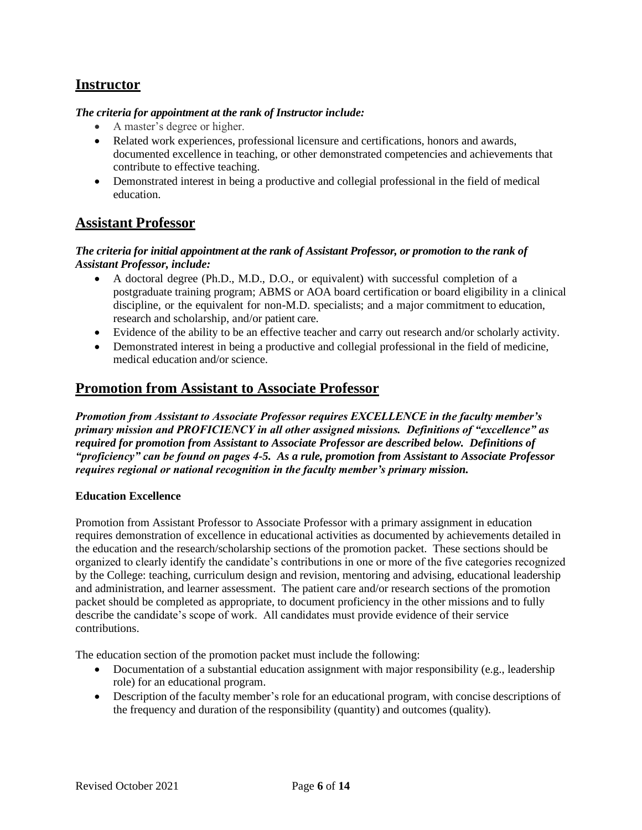## **Instructor**

#### *The criteria for appointment at the rank of Instructor include:*

- A master's degree or higher.
- Related work experiences, professional licensure and certifications, honors and awards, documented excellence in teaching, or other demonstrated competencies and achievements that contribute to effective teaching.
- Demonstrated interest in being a productive and collegial professional in the field of medical education.

## **Assistant Professor**

#### *The criteria for initial appointment at the rank of Assistant Professor, or promotion to the rank of Assistant Professor, include:*

- A doctoral degree (Ph.D., M.D., D.O., or equivalent) with successful completion of a postgraduate training program; ABMS or AOA board certification or board eligibility in a clinical discipline, or the equivalent for non-M.D. specialists; and a major commitment to education, research and scholarship, and/or patient care.
- Evidence of the ability to be an effective teacher and carry out research and/or scholarly activity.
- Demonstrated interest in being a productive and collegial professional in the field of medicine, medical education and/or science.

## **Promotion from Assistant to Associate Professor**

*Promotion from Assistant to Associate Professor requires EXCELLENCE in the faculty member's primary mission and PROFICIENCY in all other assigned missions. Definitions of "excellence" as required for promotion from Assistant to Associate Professor are described below. Definitions of "proficiency" can be found on pages 4-5. As a rule, promotion from Assistant to Associate Professor requires regional or national recognition in the faculty member's primary mission.*

#### **Education Excellence**

Promotion from Assistant Professor to Associate Professor with a primary assignment in education requires demonstration of excellence in educational activities as documented by achievements detailed in the education and the research/scholarship sections of the promotion packet. These sections should be organized to clearly identify the candidate's contributions in one or more of the five categories recognized by the College: teaching, curriculum design and revision, mentoring and advising, educational leadership and administration, and learner assessment. The patient care and/or research sections of the promotion packet should be completed as appropriate, to document proficiency in the other missions and to fully describe the candidate's scope of work. All candidates must provide evidence of their service contributions.

The education section of the promotion packet must include the following:

- Documentation of a substantial education assignment with major responsibility (e.g., leadership role) for an educational program.
- Description of the faculty member's role for an educational program, with concise descriptions of the frequency and duration of the responsibility (quantity) and outcomes (quality).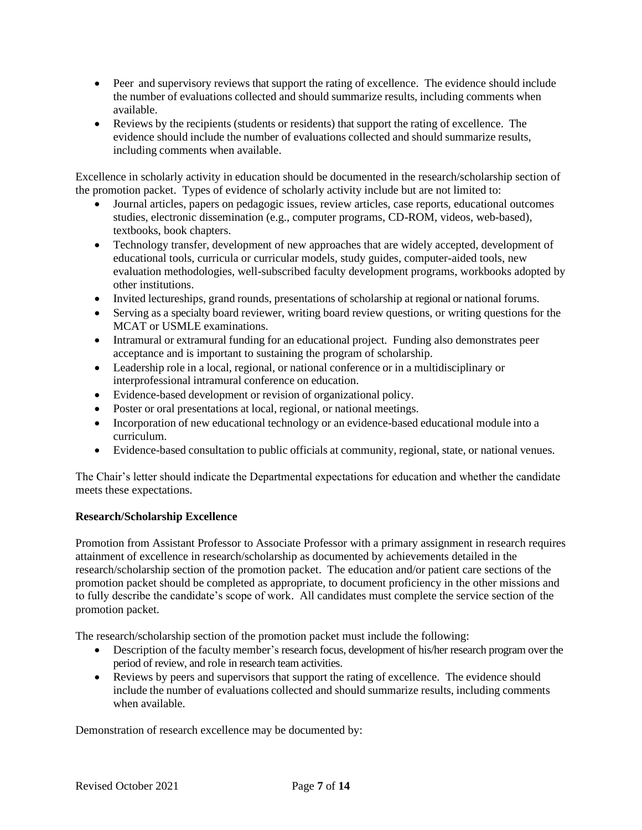- Peer and supervisory reviews that support the rating of excellence. The evidence should include the number of evaluations collected and should summarize results, including comments when available.
- Reviews by the recipients (students or residents) that support the rating of excellence. The evidence should include the number of evaluations collected and should summarize results, including comments when available.

Excellence in scholarly activity in education should be documented in the research/scholarship section of the promotion packet. Types of evidence of scholarly activity include but are not limited to:

- Journal articles, papers on pedagogic issues, review articles, case reports, educational outcomes studies, electronic dissemination (e.g., computer programs, CD-ROM, videos, web-based), textbooks, book chapters.
- Technology transfer, development of new approaches that are widely accepted, development of educational tools, curricula or curricular models, study guides, computer-aided tools, new evaluation methodologies, well-subscribed faculty development programs, workbooks adopted by other institutions.
- Invited lectureships, grand rounds, presentations of scholarship at regional or national forums.
- Serving as a specialty board reviewer, writing board review questions, or writing questions for the MCAT or USMLE examinations.
- Intramural or extramural funding for an educational project. Funding also demonstrates peer acceptance and is important to sustaining the program of scholarship.
- Leadership role in a local, regional, or national conference or in a multidisciplinary or interprofessional intramural conference on education.
- Evidence-based development or revision of organizational policy.
- Poster or oral presentations at local, regional, or national meetings.
- Incorporation of new educational technology or an evidence-based educational module into a curriculum.
- Evidence-based consultation to public officials at community, regional, state, or national venues.

The Chair's letter should indicate the Departmental expectations for education and whether the candidate meets these expectations.

#### **Research/Scholarship Excellence**

Promotion from Assistant Professor to Associate Professor with a primary assignment in research requires attainment of excellence in research/scholarship as documented by achievements detailed in the research/scholarship section of the promotion packet. The education and/or patient care sections of the promotion packet should be completed as appropriate, to document proficiency in the other missions and to fully describe the candidate's scope of work. All candidates must complete the service section of the promotion packet.

The research/scholarship section of the promotion packet must include the following:

- Description of the faculty member's research focus, development of his/her research program over the period of review, and role in research team activities.
- Reviews by peers and supervisors that support the rating of excellence. The evidence should include the number of evaluations collected and should summarize results, including comments when available.

Demonstration of research excellence may be documented by: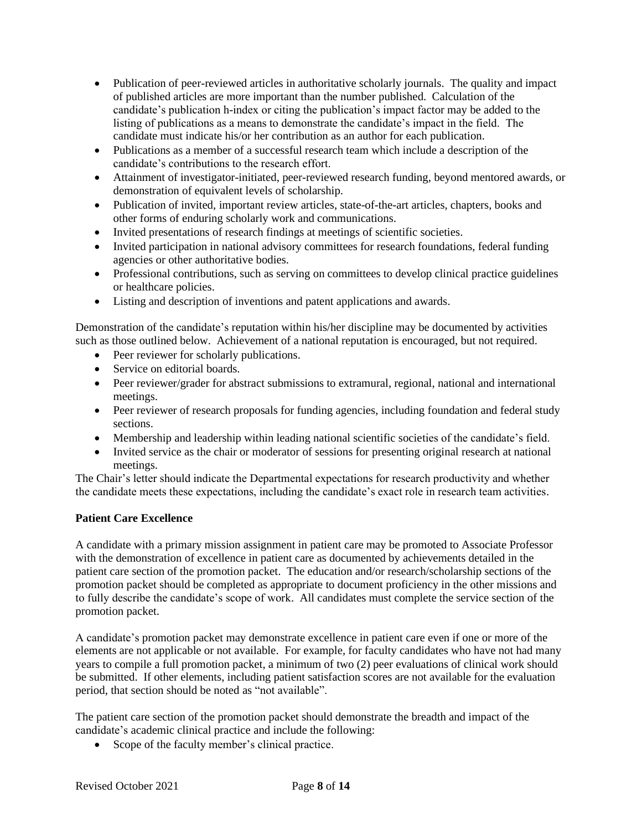- Publication of peer-reviewed articles in authoritative scholarly journals. The quality and impact of published articles are more important than the number published. Calculation of the candidate's publication h-index or citing the publication's impact factor may be added to the listing of publications as a means to demonstrate the candidate's impact in the field. The candidate must indicate his/or her contribution as an author for each publication.
- Publications as a member of a successful research team which include a description of the candidate's contributions to the research effort.
- Attainment of investigator-initiated, peer-reviewed research funding, beyond mentored awards, or demonstration of equivalent levels of scholarship.
- Publication of invited, important review articles, state-of-the-art articles, chapters, books and other forms of enduring scholarly work and communications.
- Invited presentations of research findings at meetings of scientific societies.
- Invited participation in national advisory committees for research foundations, federal funding agencies or other authoritative bodies.
- Professional contributions, such as serving on committees to develop clinical practice guidelines or healthcare policies.
- Listing and description of inventions and patent applications and awards.

Demonstration of the candidate's reputation within his/her discipline may be documented by activities such as those outlined below. Achievement of a national reputation is encouraged, but not required.

- Peer reviewer for scholarly publications.
- Service on editorial boards.
- Peer reviewer/grader for abstract submissions to extramural, regional, national and international meetings.
- Peer reviewer of research proposals for funding agencies, including foundation and federal study sections.
- Membership and leadership within leading national scientific societies of the candidate's field.
- Invited service as the chair or moderator of sessions for presenting original research at national meetings.

The Chair's letter should indicate the Departmental expectations for research productivity and whether the candidate meets these expectations, including the candidate's exact role in research team activities.

#### **Patient Care Excellence**

A candidate with a primary mission assignment in patient care may be promoted to Associate Professor with the demonstration of excellence in patient care as documented by achievements detailed in the patient care section of the promotion packet. The education and/or research/scholarship sections of the promotion packet should be completed as appropriate to document proficiency in the other missions and to fully describe the candidate's scope of work. All candidates must complete the service section of the promotion packet.

A candidate's promotion packet may demonstrate excellence in patient care even if one or more of the elements are not applicable or not available. For example, for faculty candidates who have not had many years to compile a full promotion packet, a minimum of two (2) peer evaluations of clinical work should be submitted. If other elements, including patient satisfaction scores are not available for the evaluation period, that section should be noted as "not available".

The patient care section of the promotion packet should demonstrate the breadth and impact of the candidate's academic clinical practice and include the following:

• Scope of the faculty member's clinical practice.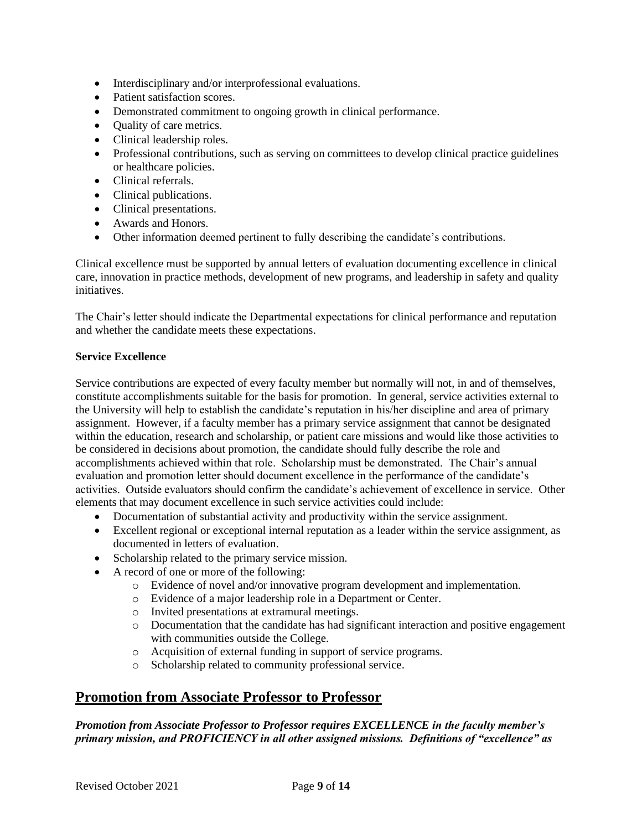- Interdisciplinary and/or interprofessional evaluations.
- Patient satisfaction scores.
- Demonstrated commitment to ongoing growth in clinical performance.
- Quality of care metrics.
- Clinical leadership roles.
- Professional contributions, such as serving on committees to develop clinical practice guidelines or healthcare policies.
- Clinical referrals.
- Clinical publications.
- Clinical presentations.
- Awards and Honors.
- Other information deemed pertinent to fully describing the candidate's contributions.

Clinical excellence must be supported by annual letters of evaluation documenting excellence in clinical care, innovation in practice methods, development of new programs, and leadership in safety and quality initiatives.

The Chair's letter should indicate the Departmental expectations for clinical performance and reputation and whether the candidate meets these expectations.

#### **Service Excellence**

Service contributions are expected of every faculty member but normally will not, in and of themselves, constitute accomplishments suitable for the basis for promotion. In general, service activities external to the University will help to establish the candidate's reputation in his/her discipline and area of primary assignment. However, if a faculty member has a primary service assignment that cannot be designated within the education, research and scholarship, or patient care missions and would like those activities to be considered in decisions about promotion, the candidate should fully describe the role and accomplishments achieved within that role. Scholarship must be demonstrated. The Chair's annual evaluation and promotion letter should document excellence in the performance of the candidate's activities. Outside evaluators should confirm the candidate's achievement of excellence in service. Other elements that may document excellence in such service activities could include:

- Documentation of substantial activity and productivity within the service assignment.
- Excellent regional or exceptional internal reputation as a leader within the service assignment, as documented in letters of evaluation.
- Scholarship related to the primary service mission.
- A record of one or more of the following:
	- o Evidence of novel and/or innovative program development and implementation.
	- o Evidence of a major leadership role in a Department or Center.
	- o Invited presentations at extramural meetings.
	- o Documentation that the candidate has had significant interaction and positive engagement with communities outside the College.
	- o Acquisition of external funding in support of service programs.
	- o Scholarship related to community professional service.

## **Promotion from Associate Professor to Professor**

### *Promotion from Associate Professor to Professor requires EXCELLENCE in the faculty member's primary mission, and PROFICIENCY in all other assigned missions. Definitions of "excellence" as*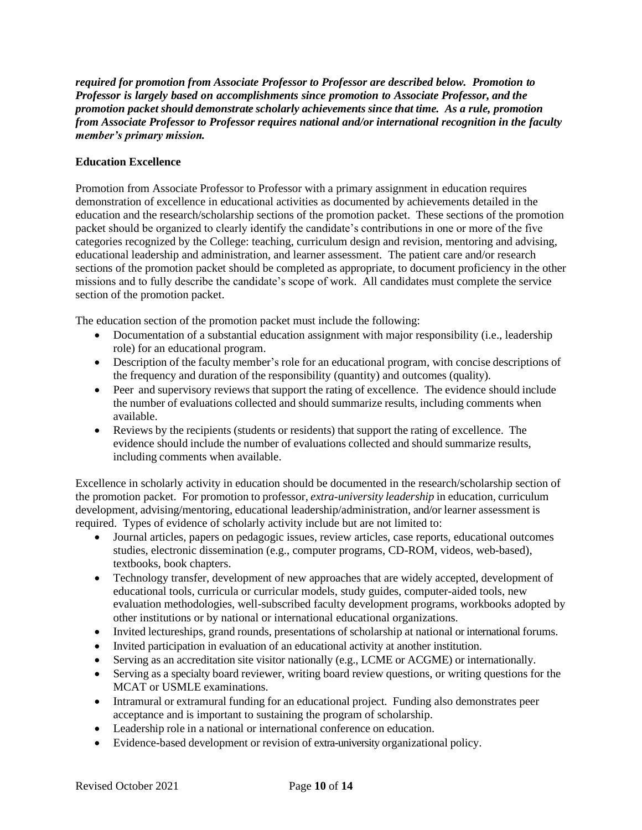*required for promotion from Associate Professor to Professor are described below. Promotion to Professor is largely based on accomplishments since promotion to Associate Professor, and the promotion packet should demonstrate scholarly achievements since that time. As a rule, promotion from Associate Professor to Professor requires national and/or international recognition in the faculty member's primary mission.*

#### **Education Excellence**

Promotion from Associate Professor to Professor with a primary assignment in education requires demonstration of excellence in educational activities as documented by achievements detailed in the education and the research/scholarship sections of the promotion packet. These sections of the promotion packet should be organized to clearly identify the candidate's contributions in one or more of the five categories recognized by the College: teaching, curriculum design and revision, mentoring and advising, educational leadership and administration, and learner assessment. The patient care and/or research sections of the promotion packet should be completed as appropriate, to document proficiency in the other missions and to fully describe the candidate's scope of work. All candidates must complete the service section of the promotion packet.

The education section of the promotion packet must include the following:

- Documentation of a substantial education assignment with major responsibility (i.e., leadership role) for an educational program.
- Description of the faculty member's role for an educational program, with concise descriptions of the frequency and duration of the responsibility (quantity) and outcomes (quality).
- Peer and supervisory reviews that support the rating of excellence. The evidence should include the number of evaluations collected and should summarize results, including comments when available.
- Reviews by the recipients (students or residents) that support the rating of excellence. The evidence should include the number of evaluations collected and should summarize results, including comments when available.

Excellence in scholarly activity in education should be documented in the research/scholarship section of the promotion packet. For promotion to professor, *extra-university leadership* in education, curriculum development, advising/mentoring, educational leadership/administration, and/or learner assessment is required. Types of evidence of scholarly activity include but are not limited to:

- Journal articles, papers on pedagogic issues, review articles, case reports, educational outcomes studies, electronic dissemination (e.g., computer programs, CD-ROM, videos, web-based), textbooks, book chapters.
- Technology transfer, development of new approaches that are widely accepted, development of educational tools, curricula or curricular models, study guides, computer-aided tools, new evaluation methodologies, well-subscribed faculty development programs, workbooks adopted by other institutions or by national or international educational organizations.
- Invited lectureships, grand rounds, presentations of scholarship at national or international forums.
- Invited participation in evaluation of an educational activity at another institution.
- Serving as an accreditation site visitor nationally (e.g., LCME or ACGME) or internationally.
- Serving as a specialty board reviewer, writing board review questions, or writing questions for the MCAT or USMLE examinations.
- Intramural or extramural funding for an educational project. Funding also demonstrates peer acceptance and is important to sustaining the program of scholarship.
- Leadership role in a national or international conference on education.
- Evidence-based development or revision of extra-university organizational policy.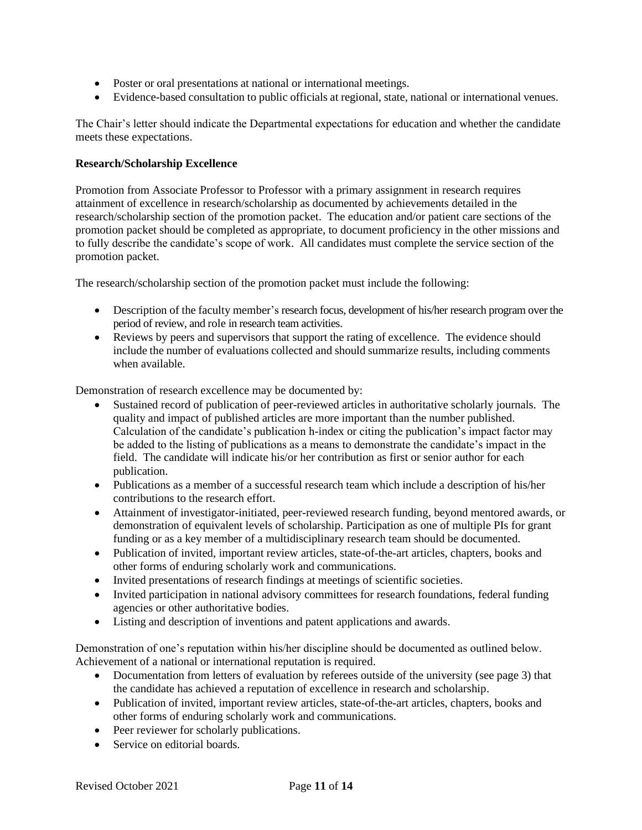- Poster or oral presentations at national or international meetings.
- Evidence-based consultation to public officials at regional, state, national or international venues.

The Chair's letter should indicate the Departmental expectations for education and whether the candidate meets these expectations.

#### **Research/Scholarship Excellence**

Promotion from Associate Professor to Professor with a primary assignment in research requires attainment of excellence in research/scholarship as documented by achievements detailed in the research/scholarship section of the promotion packet. The education and/or patient care sections of the promotion packet should be completed as appropriate, to document proficiency in the other missions and to fully describe the candidate's scope of work. All candidates must complete the service section of the promotion packet.

The research/scholarship section of the promotion packet must include the following:

- Description of the faculty member's research focus, development of his/her research program over the period of review, and role in research team activities.
- Reviews by peers and supervisors that support the rating of excellence. The evidence should include the number of evaluations collected and should summarize results, including comments when available.

Demonstration of research excellence may be documented by:

- Sustained record of publication of peer-reviewed articles in authoritative scholarly journals. The quality and impact of published articles are more important than the number published. Calculation of the candidate's publication h-index or citing the publication's impact factor may be added to the listing of publications as a means to demonstrate the candidate's impact in the field. The candidate will indicate his/or her contribution as first or senior author for each publication.
- Publications as a member of a successful research team which include a description of his/her contributions to the research effort.
- Attainment of investigator-initiated, peer-reviewed research funding, beyond mentored awards, or demonstration of equivalent levels of scholarship. Participation as one of multiple PIs for grant funding or as a key member of a multidisciplinary research team should be documented.
- Publication of invited, important review articles, state-of-the-art articles, chapters, books and other forms of enduring scholarly work and communications.
- Invited presentations of research findings at meetings of scientific societies.
- Invited participation in national advisory committees for research foundations, federal funding agencies or other authoritative bodies.
- Listing and description of inventions and patent applications and awards.

Demonstration of one's reputation within his/her discipline should be documented as outlined below. Achievement of a national or international reputation is required.

- Documentation from letters of evaluation by referees outside of the university (see page 3) that the candidate has achieved a reputation of excellence in research and scholarship.
- Publication of invited, important review articles, state-of-the-art articles, chapters, books and other forms of enduring scholarly work and communications.
- Peer reviewer for scholarly publications.
- Service on editorial boards.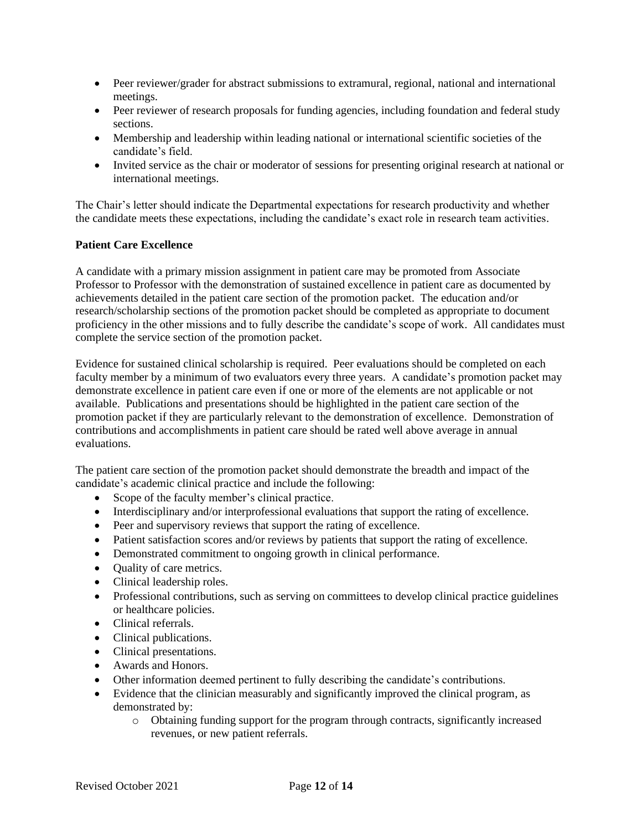- Peer reviewer/grader for abstract submissions to extramural, regional, national and international meetings.
- Peer reviewer of research proposals for funding agencies, including foundation and federal study sections.
- Membership and leadership within leading national or international scientific societies of the candidate's field.
- Invited service as the chair or moderator of sessions for presenting original research at national or international meetings.

The Chair's letter should indicate the Departmental expectations for research productivity and whether the candidate meets these expectations, including the candidate's exact role in research team activities.

#### **Patient Care Excellence**

A candidate with a primary mission assignment in patient care may be promoted from Associate Professor to Professor with the demonstration of sustained excellence in patient care as documented by achievements detailed in the patient care section of the promotion packet. The education and/or research/scholarship sections of the promotion packet should be completed as appropriate to document proficiency in the other missions and to fully describe the candidate's scope of work. All candidates must complete the service section of the promotion packet.

Evidence for sustained clinical scholarship is required. Peer evaluations should be completed on each faculty member by a minimum of two evaluators every three years. A candidate's promotion packet may demonstrate excellence in patient care even if one or more of the elements are not applicable or not available. Publications and presentations should be highlighted in the patient care section of the promotion packet if they are particularly relevant to the demonstration of excellence. Demonstration of contributions and accomplishments in patient care should be rated well above average in annual evaluations.

The patient care section of the promotion packet should demonstrate the breadth and impact of the candidate's academic clinical practice and include the following:

- Scope of the faculty member's clinical practice.
- Interdisciplinary and/or interprofessional evaluations that support the rating of excellence.
- Peer and supervisory reviews that support the rating of excellence.
- Patient satisfaction scores and/or reviews by patients that support the rating of excellence.
- Demonstrated commitment to ongoing growth in clinical performance.
- Quality of care metrics.
- Clinical leadership roles.
- Professional contributions, such as serving on committees to develop clinical practice guidelines or healthcare policies.
- Clinical referrals.
- Clinical publications.
- Clinical presentations.
- Awards and Honors.
- Other information deemed pertinent to fully describing the candidate's contributions.
- Evidence that the clinician measurably and significantly improved the clinical program, as demonstrated by:
	- o Obtaining funding support for the program through contracts, significantly increased revenues, or new patient referrals.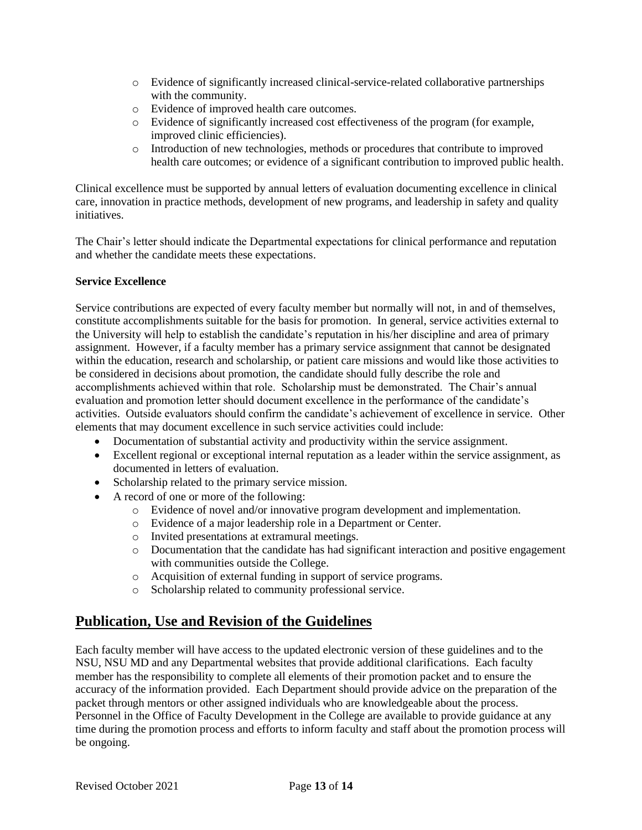- o Evidence of significantly increased clinical-service-related collaborative partnerships with the community.
- o Evidence of improved health care outcomes.
- o Evidence of significantly increased cost effectiveness of the program (for example, improved clinic efficiencies).
- o Introduction of new technologies, methods or procedures that contribute to improved health care outcomes; or evidence of a significant contribution to improved public health.

Clinical excellence must be supported by annual letters of evaluation documenting excellence in clinical care, innovation in practice methods, development of new programs, and leadership in safety and quality initiatives.

The Chair's letter should indicate the Departmental expectations for clinical performance and reputation and whether the candidate meets these expectations.

#### **Service Excellence**

Service contributions are expected of every faculty member but normally will not, in and of themselves, constitute accomplishments suitable for the basis for promotion. In general, service activities external to the University will help to establish the candidate's reputation in his/her discipline and area of primary assignment. However, if a faculty member has a primary service assignment that cannot be designated within the education, research and scholarship, or patient care missions and would like those activities to be considered in decisions about promotion, the candidate should fully describe the role and accomplishments achieved within that role. Scholarship must be demonstrated. The Chair's annual evaluation and promotion letter should document excellence in the performance of the candidate's activities. Outside evaluators should confirm the candidate's achievement of excellence in service. Other elements that may document excellence in such service activities could include:

- Documentation of substantial activity and productivity within the service assignment.
- Excellent regional or exceptional internal reputation as a leader within the service assignment, as documented in letters of evaluation.
- Scholarship related to the primary service mission.
- A record of one or more of the following:
	- o Evidence of novel and/or innovative program development and implementation.
	- o Evidence of a major leadership role in a Department or Center.
	- o Invited presentations at extramural meetings.
	- o Documentation that the candidate has had significant interaction and positive engagement with communities outside the College.
	- o Acquisition of external funding in support of service programs.
	- o Scholarship related to community professional service.

## **Publication, Use and Revision of the Guidelines**

Each faculty member will have access to the updated electronic version of these guidelines and to the NSU, NSU MD and any Departmental websites that provide additional clarifications. Each faculty member has the responsibility to complete all elements of their promotion packet and to ensure the accuracy of the information provided. Each Department should provide advice on the preparation of the packet through mentors or other assigned individuals who are knowledgeable about the process. Personnel in the Office of Faculty Development in the College are available to provide guidance at any time during the promotion process and efforts to inform faculty and staff about the promotion process will be ongoing.